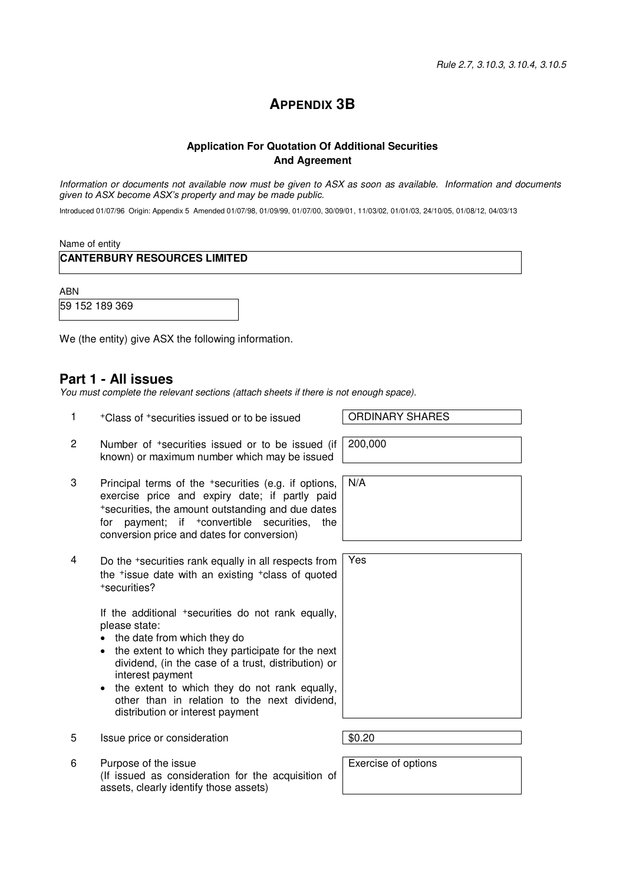# **APPENDIX 3B**

### **Application For Quotation Of Additional Securities And Agreement**

Information or documents not available now must be given to ASX as soon as available. Information and documents *given to ASX become ASX's property and may be made public.*

Introduced 01/07/96 Origin: Appendix 5 Amended 01/07/98, 01/09/99, 01/07/00, 30/09/01, 11/03/02, 01/01/03, 24/10/05, 01/08/12, 04/03/13

Name of entity

**CANTERBURY RESOURCES LIMITED** 

ABN

59 152 189 369

We (the entity) give ASX the following information.

## **Part 1 - All issues**

You must complete the relevant sections (attach sheets if there is not enough space).

- 1 +Class of +securities issued or to be issued ORDINARY SHARES
- 2 Number of +securities issued or to be issued (if known) or maximum number which may be issued
- 3 Principal terms of the +securities (e.g. if options, exercise price and expiry date; if partly paid <sup>+</sup>securities, the amount outstanding and due dates for payment; if +convertible securities, the conversion price and dates for conversion)
- 4 Do the +securities rank equally in all respects from the +issue date with an existing +class of quoted <sup>+</sup>securities?

If the additional +securities do not rank equally, please state:

- the date from which they do
- the extent to which they participate for the next dividend, (in the case of a trust, distribution) or interest payment
- the extent to which they do not rank equally, other than in relation to the next dividend, distribution or interest payment
- 5 Issue price or consideration  $\vert$ \$0.20
- 6 Purpose of the issue (If issued as consideration for the acquisition of assets, clearly identify those assets)

200,000

N/A



Exercise of options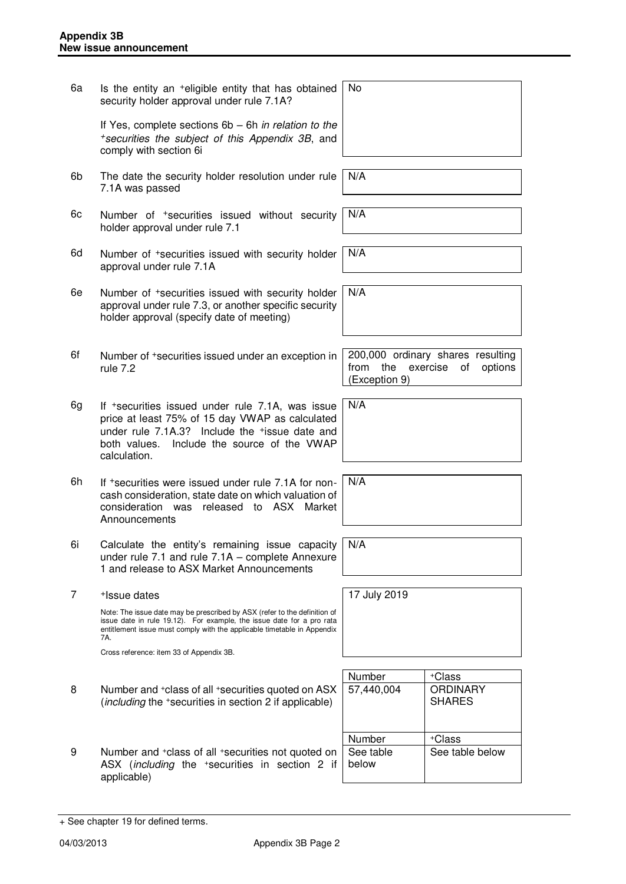6a Is the entity an +eligible entity that has obtained security holder approval under rule 7.1A? If Yes, complete sections 6b – 6h in relation to the <sup>+</sup>securities the subject of this Appendix 3B, and comply with section 6i No 6b The date the security holder resolution under rule 7.1A was passed N/A 6c Number of +securities issued without security holder approval under rule 7.1 N/A 6d Number of +securities issued with security holder approval under rule 7.1A N/A 6e Number of +securities issued with security holder approval under rule 7.3, or another specific security holder approval (specify date of meeting) N/A 6f Number of +securities issued under an exception in rule 7.2 200,000 ordinary shares resulting from the exercise of options (Exception 9) 6g If +securities issued under rule 7.1A, was issue price at least 75% of 15 day VWAP as calculated under rule 7.1A.3? Include the +issue date and both values. Include the source of the VWAP calculation. N/A 6h If +securities were issued under rule 7.1A for noncash consideration, state date on which valuation of consideration was released to ASX Market **Announcements** N/A 6i Calculate the entity's remaining issue capacity under rule 7.1 and rule 7.1A – complete Annexure 1 and release to ASX Market Announcements N/A 7 +Issue dates Note: The issue date may be prescribed by ASX (refer to the definition of issue date in rule 19.12). For example, the issue date for a pro rata entitlement issue must comply with the applicable timetable in Appendix 7A. Cross reference: item 33 of Appendix 3B. 17 July 2019 Number | +Class 8 Number and +class of all +securities quoted on ASX (including the <sup>+</sup>securities in section 2 if applicable) 57,440,004 ORDINARY SHARES Number | +Class 9 Number and <sup>+</sup>class of all <sup>+</sup>securities not quoted on ASX (including the +securities in section 2 if applicable) See table below See table below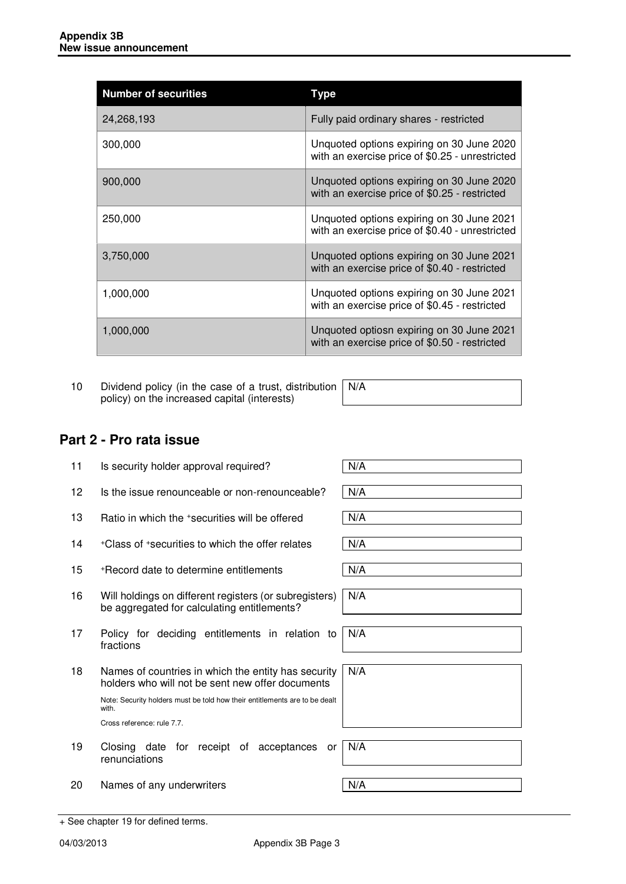| <b>Number of securities</b> | Type                                                                                         |
|-----------------------------|----------------------------------------------------------------------------------------------|
| 24,268,193                  | Fully paid ordinary shares - restricted                                                      |
| 300,000                     | Unquoted options expiring on 30 June 2020<br>with an exercise price of \$0.25 - unrestricted |
| 900,000                     | Unquoted options expiring on 30 June 2020<br>with an exercise price of \$0.25 - restricted   |
| 250,000                     | Unquoted options expiring on 30 June 2021<br>with an exercise price of \$0.40 - unrestricted |
| 3,750,000                   | Unquoted options expiring on 30 June 2021<br>with an exercise price of \$0.40 - restricted   |
| 1,000,000                   | Unquoted options expiring on 30 June 2021<br>with an exercise price of \$0.45 - restricted   |
| 1,000,000                   | Unquoted optiosn expiring on 30 June 2021<br>with an exercise price of \$0.50 - restricted   |

10 Dividend policy (in the case of a trust, distribution policy) on the increased capital (interests) N/A

# **Part 2 - Pro rata issue**

| 11                | Is security holder approval required?                                                                                                                                                                                        | N/A |
|-------------------|------------------------------------------------------------------------------------------------------------------------------------------------------------------------------------------------------------------------------|-----|
| $12 \overline{ }$ | Is the issue renounceable or non-renounceable?                                                                                                                                                                               | N/A |
| 13                | Ratio in which the +securities will be offered                                                                                                                                                                               | N/A |
| 14                | +Class of +securities to which the offer relates                                                                                                                                                                             | N/A |
| 15                | +Record date to determine entitlements                                                                                                                                                                                       | N/A |
| 16                | Will holdings on different registers (or subregisters)<br>be aggregated for calculating entitlements?                                                                                                                        | N/A |
| 17                | Policy for deciding entitlements in relation to<br>fractions                                                                                                                                                                 | N/A |
| 18                | Names of countries in which the entity has security<br>holders who will not be sent new offer documents<br>Note: Security holders must be told how their entitlements are to be dealt<br>with.<br>Cross reference: rule 7.7. | N/A |
| 19                | Closing date for receipt of acceptances<br>or<br>renunciations                                                                                                                                                               | N/A |
| 20                | Names of any underwriters                                                                                                                                                                                                    | N/A |

<sup>+</sup> See chapter 19 for defined terms.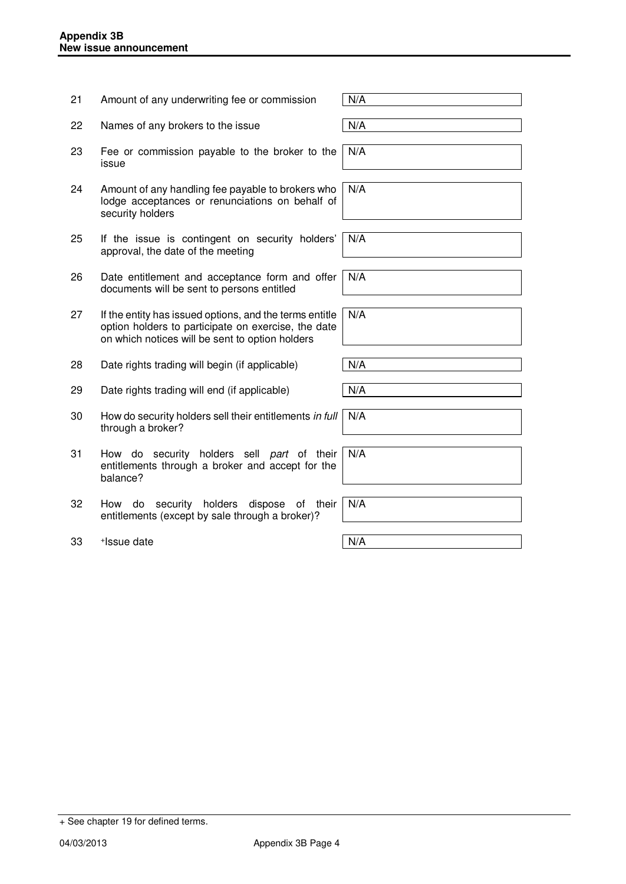| 21 | Amount of any underwriting fee or commission                                                                                                                      | N/A |
|----|-------------------------------------------------------------------------------------------------------------------------------------------------------------------|-----|
| 22 | Names of any brokers to the issue                                                                                                                                 | N/A |
| 23 | Fee or commission payable to the broker to the<br>issue                                                                                                           | N/A |
| 24 | Amount of any handling fee payable to brokers who<br>lodge acceptances or renunciations on behalf of<br>security holders                                          | N/A |
| 25 | If the issue is contingent on security holders'<br>approval, the date of the meeting                                                                              | N/A |
| 26 | Date entitlement and acceptance form and offer<br>documents will be sent to persons entitled                                                                      | N/A |
| 27 | If the entity has issued options, and the terms entitle<br>option holders to participate on exercise, the date<br>on which notices will be sent to option holders | N/A |
| 28 | Date rights trading will begin (if applicable)                                                                                                                    | N/A |
| 29 | Date rights trading will end (if applicable)                                                                                                                      | N/A |
| 30 | How do security holders sell their entitlements in full<br>through a broker?                                                                                      | N/A |
| 31 | How do security holders sell part of their<br>entitlements through a broker and accept for the<br>balance?                                                        | N/A |
| 32 | holders<br>dispose<br>How<br>do<br>security<br>their<br>0f<br>entitlements (except by sale through a broker)?                                                     | N/A |

33 + Issue date N/A

+ See chapter 19 for defined terms.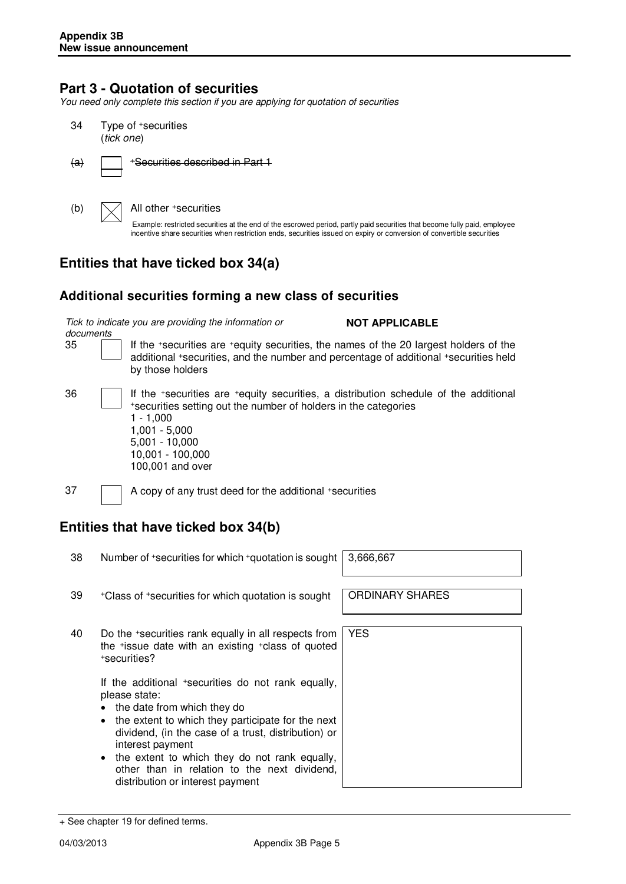## **Part 3 - Quotation of securities**

You need only complete this section if you are applying for quotation of securities

- 34 Type of <sup>+</sup>securities (tick one)
- $(a)$  | +Securities described in Part 1

(b)  $\bigvee$  All other +securities

Example: restricted securities at the end of the escrowed period, partly paid securities that become fully paid, employee incentive share securities when restriction ends, securities issued on expiry or conversion of convertible securities

# **Entities that have ticked box 34(a)**

## **Additional securities forming a new class of securities**

Tick to indicate you are providing the information or

**NOT APPLICABLE** 

documents

35 If the <sup>+</sup>securities are <sup>+</sup>equity securities, the names of the 20 largest holders of the additional <sup>+</sup>securities, and the number and percentage of additional <sup>+</sup>securities held by those holders

36 If the <sup>+</sup>securities are <sup>+</sup>equity securities, a distribution schedule of the additional <sup>+</sup>securities setting out the number of holders in the categories 1 - 1,000 1,001 - 5,000 5,001 - 10,000 10,001 - 100,000

100,001 and over

37 A copy of any trust deed for the additional +securities

# **Entities that have ticked box 34(b)**

38 Number of +securities for which +quotation is sought 3,666,667

YES

- 39 +Class of +securities for which quotation is sought | ORDINARY SHARES
- 40 Do the <sup>+</sup>securities rank equally in all respects from the <sup>+</sup>issue date with an existing <sup>+</sup>class of quoted <sup>+</sup>securities?

If the additional +securities do not rank equally, please state:

- the date from which they do
- the extent to which they participate for the next dividend, (in the case of a trust, distribution) or interest payment
- the extent to which they do not rank equally, other than in relation to the next dividend, distribution or interest payment

<sup>+</sup> See chapter 19 for defined terms.